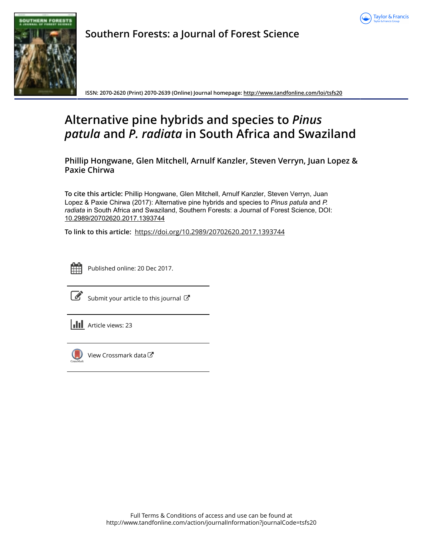



**Southern Forests: a Journal of Forest Science**

**ISSN: 2070-2620 (Print) 2070-2639 (Online) Journal homepage:<http://www.tandfonline.com/loi/tsfs20>**

# **Alternative pine hybrids and species to** *Pinus patula* **and** *P. radiata* **in South Africa and Swaziland**

**Phillip Hongwane, Glen Mitchell, Arnulf Kanzler, Steven Verryn, Juan Lopez & Paxie Chirwa**

**To cite this article:** Phillip Hongwane, Glen Mitchell, Arnulf Kanzler, Steven Verryn, Juan Lopez & Paxie Chirwa (2017): Alternative pine hybrids and species to *Pinus patula* and *P. radiata* in South Africa and Swaziland, Southern Forests: a Journal of Forest Science, DOI: [10.2989/20702620.2017.1393744](http://www.tandfonline.com/action/showCitFormats?doi=10.2989/20702620.2017.1393744)

**To link to this article:** <https://doi.org/10.2989/20702620.2017.1393744>



Published online: 20 Dec 2017.



 $\overline{\mathscr{L}}$  [Submit your article to this journal](http://www.tandfonline.com/action/authorSubmission?journalCode=tsfs20&show=instructions)  $\mathbb{Z}$ 





 $\bigcirc$  [View Crossmark data](http://crossmark.crossref.org/dialog/?doi=10.2989/20702620.2017.1393744&domain=pdf&date_stamp=2017-12-20) $\mathbb{Z}$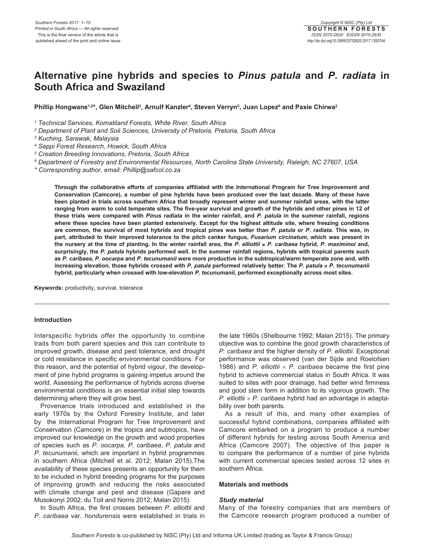## **Alternative pine hybrids and species to** *Pinus patula* **and** *P. radiata* **in South Africa and Swaziland**

Phillip Hongwane<sup>1,2\*</sup>, Glen Mitchell<sup>3</sup>, Arnulf Kanzler<sup>4</sup>, Steven Verryn<sup>5</sup>, Juan Lopez<sup>6</sup> and Paxie Chirwa<sup>2</sup>

*1 Technical Services, Komatiland Forests, White River, South Africa*

*2 Department of Plant and Soil Sciences, University of Pretoria, Pretoria, South Africa*

*3 Kuching, Sarawak, Malaysia*

*4 Sappi Forest Research, Howick, South Africa*

*5 Creation Breeding Innovations, Pretoria, South Africa*

*6 Department of Forestry and Environmental Resources, North Carolina State University, Raleigh, NC 27607, USA*

*\* Corresponding author, email: Phillip@safcol.co.za*

**Through the collaborative efforts of companies affiliated with the International Program for Tree Improvement and Conservation (Camcore), a number of pine hybrids have been produced over the last decade. Many of these have been planted in trials across southern Africa that broadly represent winter and summer rainfall areas, with the latter ranging from warm to cold temperate sites. The five-year survival and growth of the hybrids and other pines in 12 of these trials were compared with** *Pinus radiata* **in the winter rainfall, and** *P. patula* **in the summer rainfall, regions where these species have been planted extensively. Except for the highest altitude site, where freezing conditions are common, the survival of most hybrids and tropical pines was better than** *P. patula* **or** *P. radiata***. This was, in part, attributed to their improved tolerance to the pitch canker fungus,** *Fusarium circinatum***, which was present in the nursery at the time of planting. In the winter rainfall area, the** *P. elliottii* × *P. caribaea* **hybrid,** *P. maximinoi* **and, surprisingly, the** *P. patula* **hybrids performed well. In the summer rainfall regions, hybrids with tropical parents such as** *P. caribaea***,** *P. oocarpa* **and** *P. tecunumanii* **were more productive in the subtropical/warm temperate zone and, with increasing elevation, those hybrids crossed with** *P. patula* **performed relatively better. The** *P. patula* × *P. tecunumanii* **hybrid, particularly when crossed with low-elevation** *P. tecunumanii***, performed exceptionally across most sites.**

**Keywords:** productivity, survival, tolerance

#### **Introduction**

Interspecific hybrids offer the opportunity to combine traits from both parent species and this can contribute to improved growth, disease and pest tolerance, and drought or cold resistance in specific environmental conditions. For this reason, and the potential of hybrid vigour, the development of pine hybrid programs is gaining impetus around the world. Assessing the performance of hybrids across diverse environmental conditions is an essential initial step towards determining where they will grow best.

Provenance trials introduced and established in the early 1970s by the Oxford Forestry Institute, and later by the International Program for Tree Improvement and Conservation (Camcore) in the tropics and subtropics, have improved our knowledge on the growth and wood properties of species such as *P. oocarpa*, *P. caribaea*, *P. patula* and *P. tecunumanii*, which are important in hybrid programmes in southern Africa (Mitchell et al. 2012; Malan 2015).The availability of these species presents an opportunity for them to be included in hybrid breeding programs for the purposes of improving growth and reducing the risks associated with climate change and pest and disease (Gapare and Musokonyi 2002; du Toit and Norris 2012; Malan 2015).

In South Africa, the first crosses between *P. elliottii* and *P. caribaea* var. *hondurensis* were established in trials in the late 1960s (Shelbourne 1992; Malan 2015). The primary objective was to combine the good growth characteristics of *P. caribaea* and the higher density of *P. elliottii*. Exceptional performance was observed (van der Sijde and Roelofsen 1986) and *P. elliottii* × *P. caribaea* became the first pine hybrid to achieve commercial status in South Africa. It was suited to sites with poor drainage, had better wind firmness and good stem form in addition to its vigorous growth. The *P. elliottii* × *P. caribaea* hybrid had an advantage in adaptability over both parents.

As a result of this, and many other examples of successful hybrid combinations, companies affiliated with Camcore embarked on a program to produce a number of different hybrids for testing across South America and Africa (Camcore 2007). The objective of this paper is to compare the performance of a number of pine hybrids with current commercial species tested across 12 sites in southern Africa.

#### **Materials and methods**

#### *Study material*

Many of the forestry companies that are members of the Camcore research program produced a number of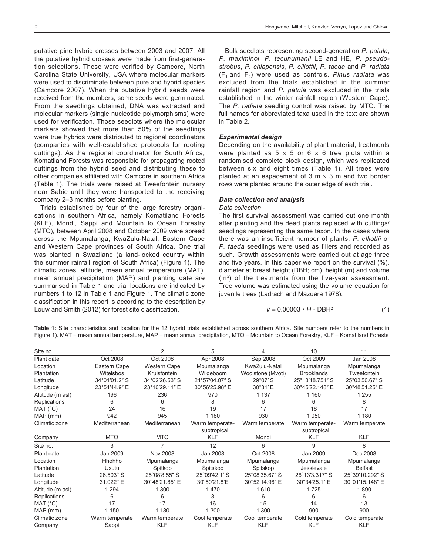putative pine hybrid crosses between 2003 and 2007. All the putative hybrid crosses were made from first-generation selections. These were verified by Camcore, North Carolina State University, USA where molecular markers were used to discriminate between pure and hybrid species (Camcore 2007). When the putative hybrid seeds were received from the members, some seeds were germinated. From the seedlings obtained, DNA was extracted and molecular markers (single nucleotide polymorphisms) were used for verification. Those seedlots where the molecular markers showed that more than 50% of the seedlings were true hybrids were distributed to regional coordinators (companies with well-established protocols for rooting cuttings). As the regional coordinator for South Africa, Komatiland Forests was responsible for propagating rooted cuttings from the hybrid seed and distributing these to other companies affiliated with Camcore in southern Africa (Table 1). The trials were raised at Tweefontein nursery near Sabie until they were transported to the receiving company 2–3 months before planting.

Trials established by four of the large forestry organisations in southern Africa, namely Komatiland Forests (KLF), Mondi, Sappi and Mountain to Ocean Forestry (MTO), between April 2008 and October 2009 were spread across the Mpumalanga, KwaZulu-Natal, Eastern Cape and Western Cape provinces of South Africa. One trial was planted in Swaziland (a land-locked country within the summer rainfall region of South Africa) (Figure 1). The climatic zones, altitude, mean annual temperature (MAT), mean annual precipitation (MAP) and planting date are summarised in Table 1 and trial locations are indicated by numbers 1 to 12 in Table 1 and Figure 1. The climatic zone classification in this report is according to the description by Louw and Smith (2012) for forest site classification.

Bulk seedlots representing second-generation *P. patula*, *P. maximinoi*, *P. tecunumanii* LE and HE, *P. pseudostrobus*, *P. chiapensis*, *P. elliottii*, *P. taeda* and *P. radiata*  $(F_1$  and  $F_2)$  were used as controls. *Pinus radiata* was excluded from the trials established in the summer rainfall region and *P. patula* was excluded in the trials established in the winter rainfall region (Western Cape). The *P. radiata* seedling control was raised by MTO. The full names for abbreviated taxa used in the text are shown in Table 2.

#### *Experimental design*

Depending on the availability of plant material, treatments were planted as  $5 \times 5$  or  $6 \times 6$  tree plots within a randomised complete block design, which was replicated between six and eight times (Table 1). All trees were planted at an espacement of 3  $m \times 3$  m and two border rows were planted around the outer edge of each trial.

#### *Data collection and analysis*

### *Data collection*

The first survival assessment was carried out one month after planting and the dead plants replaced with cuttings/ seedlings representing the same taxon. In the cases where there was an insufficient number of plants, *P. elliottii* or *P. taeda* seedlings were used as fillers and recorded as such. Growth assessments were carried out at age three and five years. In this paper we report on the survival (%), diameter at breast height (DBH; cm), height (m) and volume (m3) of the treatments from the five-year assessment. Tree volume was estimated using the volume equation for juvenile trees (Ladrach and Mazuera 1978):

$$
V = 0.00003 * H * DBH2
$$
 (1)

**Table 1:** Site characteristics and location for the 12 hybrid trials established across southern Africa. Site numbers refer to the numbers in Figure 1). MAT = mean annual temperature, MAP = mean annual precipitation, MTO = Mountain to Ocean Forestry, KLF = Komatiland Forests

| Site no.         |                | 2                   | 5                              | 4                 | 10                             | 11              |
|------------------|----------------|---------------------|--------------------------------|-------------------|--------------------------------|-----------------|
| Plant date       | Oct 2008       | Oct 2008            | Apr 2008                       | Sep 2008          | Oct 2009                       | Jan 2008        |
| Location         | Eastern Cape   | <b>Western Cape</b> | Mpumalanga                     | KwaZulu-Natal     | Mpumalanga                     | Mpumalanga      |
| Plantation       | Witelsbos      | Kruisfontein        | Wilgeboom                      | Woolstone (Mvoti) | <b>Brooklands</b>              | Tweefontein     |
| Latitude         | 34°01′01.2" S  | 34°02'26.53" S      | 24°57'04.07" S                 | 29°07' S          | 25°18'18.751" S                | 25°03'50.67" S  |
| Longitude        | 23°54'44.9" E  | 23°10'29.11" E      | 30°56'25.98" E                 | 30°31'E           | 30°45'22.148" E                | 30°48'51.25" E  |
| Altitude (m asl) | 196            | 236                 | 970                            | 1 1 3 7           | 1 1 6 0                        | 1 2 5 5         |
| Replications     | 6              | 6                   | 8                              | 6                 | 6                              | 8               |
| MAT (°C)         | 24             | 16                  | 19                             | 17                | 18                             | 17              |
| MAP (mm)         | 942            | 945                 | 1 1 8 0                        | 930               | 1 0 5 0                        | 1 1 8 0         |
| Climatic zone    | Mediterranean  | Mediterranean       | Warm temperate-<br>subtropical | Warm temperate    | Warm temperate-<br>subtropical | Warm temperate  |
| Company          | <b>MTO</b>     | <b>MTO</b>          | <b>KLF</b>                     | Mondi             | <b>KLF</b>                     | <b>KLF</b>      |
| Site no.         | 3              | 7                   | 12                             | 6                 | 9                              | 8               |
| Plant date       | Jan 2009       | <b>Nov 2008</b>     | Jan 2008                       | Oct 2008          | Jan 2009                       | Dec 2008        |
| Location         | Hhohho         | Mpumalanga          | Mpumalanga                     | Mpumalanga        | Mpumalanga                     | Mpumalanga      |
| Plantation       | Usutu          | Spitkop             | Spitskop                       | Spitskop          | Jessievale                     | <b>Belfast</b>  |
| Latitude         | 26.503° S      | 25°08'8.55" S       | 25°09'42.1' S                  | 25°08'35.67" S    | 26°13'3.317" S                 | 25°39'10.292" S |
| Longitude        | 31.022° E      | 30°48'21.85" E      | 30°50'21.8'E                   | 30°52'14.96" E    | 30°34'25.1" E                  | 30°01'15.148" E |
| Altitude (m asl) | 1 2 9 4        | 1 300               | 1470                           | 1610              | 1725                           | 1890            |
| Replications     | 6              | 6                   | 8                              | 6                 | 6                              | 6               |
| MAT (°C)         | 17             | 17                  | 16                             | 15                | 14                             | 13              |
| MAP (mm)         | 1 150          | 1 1 8 0             | 1 300                          | 1 300             | 900                            | 900             |
| Climatic zone    | Warm temperate | Warm temperate      | Cool temperate                 | Cool temperate    | Cold temperate                 | Cold temperate  |
| Company          | Sappi          | <b>KLF</b>          | <b>KLF</b>                     | <b>KLF</b>        | <b>KLF</b>                     | <b>KLF</b>      |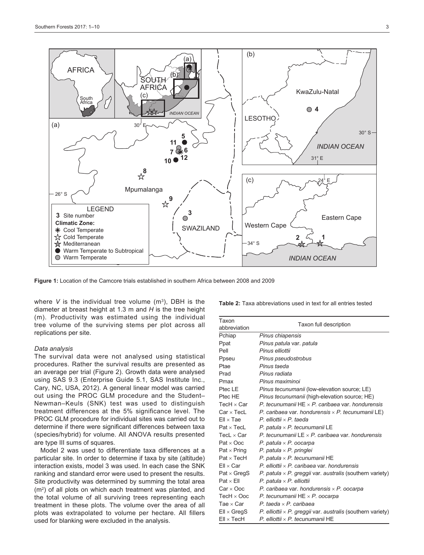

**Figure 1:** Location of the Camcore trials established in southern Africa between 2008 and 2009

where  $V$  is the individual tree volume  $(m^3)$ , DBH is the diameter at breast height at 1.3 m and *H* is the tree height (m). Productivity was estimated using the individual tree volume of the surviving stems per plot across all replications per site.

#### *Data analysis*

The survival data were not analysed using statistical procedures. Rather the survival results are presented as an average per trial (Figure 2). Growth data were analysed using SAS 9.3 (Enterprise Guide 5.1, SAS Institute Inc., Cary, NC, USA, 2012). A general linear model was carried out using the PROC GLM procedure and the Student– Newman–Keuls (SNK) test was used to distinguish treatment differences at the 5% significance level. The PROC GLM procedure for individual sites was carried out to determine if there were significant differences between taxa (species/hybrid) for volume. All ANOVA results presented are type III sums of squares.

Model 2 was used to differentiate taxa differences at a particular site. In order to determine if taxa by site (altitude) interaction exists, model 3 was used. In each case the SNK ranking and standard error were used to present the results. Site productivity was determined by summing the total area (m2) of all plots on which each treatment was planted, and the total volume of all surviving trees representing each treatment in these plots. The volume over the area of all plots was extrapolated to volume per hectare. All fillers used for blanking were excluded in the analysis.

**Table 2:** Taxa abbreviations used in text for all entries tested

| Taxon              | Taxon full description                                             |  |  |  |  |
|--------------------|--------------------------------------------------------------------|--|--|--|--|
| abbreviation       |                                                                    |  |  |  |  |
| Pchiap             | Pinus chiapensis                                                   |  |  |  |  |
| Ppat               | Pinus patula var. patula                                           |  |  |  |  |
| Pell               | Pinus elliottii                                                    |  |  |  |  |
| Ppseu              | Pinus pseudostrobus                                                |  |  |  |  |
| Ptae               | Pinus taeda                                                        |  |  |  |  |
| Prad               | Pinus radiata                                                      |  |  |  |  |
| Pmax               | Pinus maximinoi                                                    |  |  |  |  |
| Ptec LE            | Pinus tecunumanii (low-elevation source; LE)                       |  |  |  |  |
| Ptec HF            | Pinus tecunumanii (high-elevation source; HE)                      |  |  |  |  |
| TecH $\times$ Car  | P. tecunumanii $HE \times P$ . caribaea var. hondurensis           |  |  |  |  |
| $Car \times Tech$  | P. caribaea var. hondurensis $\times$ P. tecunumanii LE)           |  |  |  |  |
| $Ell \times Tae$   | $P.$ elliottii $\times$ P. taeda                                   |  |  |  |  |
| $Pat \times$ Tecl  | P. patula $\times$ P. tecunumanii LE                               |  |  |  |  |
| TecL $\times$ Car  | P. tecunumanii LE $\times$ P. caribaea var. hondurensis            |  |  |  |  |
| $Pat \times Ooc$   | P. patula $\times$ P. oocarpa                                      |  |  |  |  |
| $Pat \times Pring$ | P. patula $\times$ P. pringlei                                     |  |  |  |  |
| $Pat \times Tech$  | P. patula $\times$ P. tecunumanii HE                               |  |  |  |  |
| $Ell \times Car$   | P. elliottii $\times$ P. caribaea var. hondurensis                 |  |  |  |  |
| $Pat \times GreqS$ | P. patula $\times$ P. greggii var. australis (southern variety)    |  |  |  |  |
| $Pat \times Ell$   | P. patula $\times$ P. elliottii                                    |  |  |  |  |
| $Car \times Ooc$   | P. caribaea var. hondurensis $\times$ P. oocarpa                   |  |  |  |  |
| $TecH \times Ooc$  | P. tecunumanii $HE \times P$ . oocarpa                             |  |  |  |  |
| Tae $\times$ Car   | P. taeda $\times$ P. caribaea                                      |  |  |  |  |
| $Ell \times GregS$ | P. elliottii $\times$ P. greggii var. australis (southern variety) |  |  |  |  |
| $Ell \times Tech$  | P. elliottii $\times$ P. tecunumanii HE                            |  |  |  |  |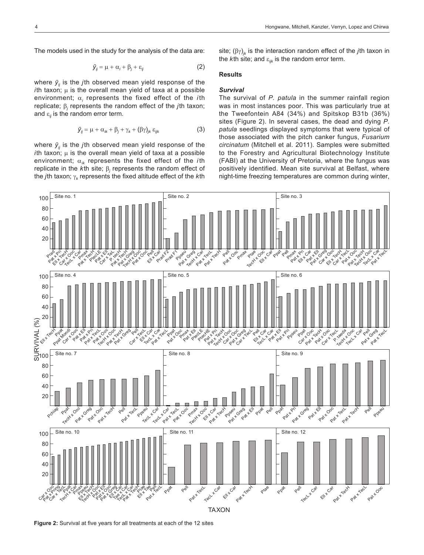The models used in the study for the analysis of the data are:

$$
\bar{y}_{ij} = \mu + \alpha_i + \beta_j + \varepsilon_{ij} \tag{2}
$$

where  $\bar{y}_i$  is the *j*th observed mean yield response of the  $i$ th taxon;  $\mu$  is the overall mean yield of taxa at a possible environment; α*<sup>i</sup>* represents the fixed effect of the *i*th replicate; β<sub>j</sub> represents the random effect of the *j* th taxon; and  $\varepsilon_{ii}$  is the random error term.

$$
\bar{y}_{ij} = \mu + \alpha_{ik} + \beta_j + \gamma_k + (\beta \gamma)_{jk} \varepsilon_{ijk}
$$
 (3)

where  $\bar{y}_i$  is the *j*th observed mean yield response of the *i*th taxon;  $\mu$  is the overall mean yield of taxa at a possible environment; α*ik* represents the fixed effect of the *i*th replicate in the *k*th site;  $β_j$  represents the random effect of the *j*th taxon; γ*<sup>k</sup>* represents the fixed altitude effect of the *k*th

site;  $(\beta \gamma)_{ik}$  is the interaction random effect of the *j*th taxon in the *k*th site; and  $\varepsilon_{ijk}$  is the random error term.

#### **Results**

#### *Survival*

The survival of *P. patula* in the summer rainfall region was in most instances poor. This was particularly true at the Tweefontein A84 (34%) and Spitskop B31b (36%) sites (Figure 2). In several cases, the dead and dying *P. patula* seedlings displayed symptoms that were typical of those associated with the pitch canker fungus, *Fusarium circinatum* (Mitchell et al. 2011). Samples were submitted to the Forestry and Agricultural Biotechnology Institute (FABI) at the University of Pretoria, where the fungus was positively identified. Mean site survival at Belfast, where night-time freezing temperatures are common during winter,



**Figure 2:** Survival at five years for all treatments at each of the 12 sites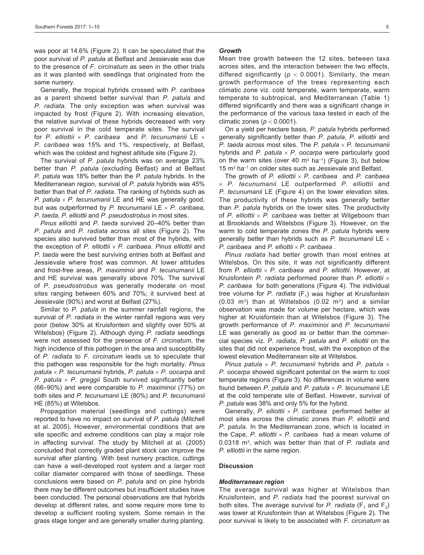was poor at 14.6% (Figure 2). It can be speculated that the poor survival of *P. patula* at Belfast and Jessievale was due to the presence of *F. circinatum* as seen in the other trials as it was planted with seedlings that originated from the same nursery.

Generally, the tropical hybrids crossed with *P. caribaea*  as a parent showed better survival than *P. patula* and *P. radiata*. The only exception was when survival was impacted by frost (Figure 2). With increasing elevation, the relative survival of these hybrids decreased with very poor survival in the cold temperate sites. The survival for *P. elliottii* × *P. caribaea* and *P. tecunumanii* LE × *P. caribaea* was 15% and 1%, respectively, at Belfast, which was the coldest and highest altitude site (Figure 2).

The survival of *P. patula* hybrids was on average 23% better than *P. patula* (excluding Belfast) and at Belfast *P. patula* was 18% better than the *P. patula* hybrids. In the Mediterranean region, survival of *P. patula* hybrids was 45% better than that of *P. radiata*. The ranking of hybrids such as *P. patula* × *P. tecunumanii* LE and HE was generally good, but was outperformed by *P. tecunumanii* LE × *P. caribaea*, *P. taeda*, *P. elliottii* and *P. pseudostrobus* in most sites.

*Pinus elliottii* and *P. taeda* survived 20–40% better than *P. patula* and *P. radiata* across all sites (Figure 2). The species also survived better than most of the hybrids, with the exception of *P. elliottii* × *P. caribaea*. *Pinus elliottii* and *P. taeda* were the best surviving entries both at Belfast and Jessievale where frost was common. At lower altitudes and frost-free areas, *P. maximinoi* and *P. tecunumanii* LE and HE survival was generally above 70%. The survival of *P. pseudostrobus* was generally moderate on most sites ranging between 60% and 70%; it survived best at Jessievale (90%) and worst at Belfast (27%).

Similar to *P. patula* in the summer rainfall regions, the survival of *P. radiata* in the winter rainfall regions was very poor (below 30% at Kruisfontein and slightly over 50% at Witelsbos) (Figure 2). Although dying *P. radiata* seedlings were not assessed for the presence of *F. circinatum*, the high incidence of this pathogen in the area and susceptibility of *P. radiata* to *F. circinatum* leads us to speculate that this pathogen was responsible for the high mortality. *Pinus patula* × *P. tecunumanii* hybrids, *P. patula* × *P. oocarpa* and *P. patula* × *P. greggii* South survived significantly better (66–90%) and were comparable to *P. maximinoi* (77%) on both sites and *P. tecunumanii* LE (80%) and *P. tecunumanii* HE (85%) at Witelsbos.

Propagation material (seedlings and cuttings) were reported to have no impact on survival of *P. patula* (Mitchell et al. 2005). However, environmental conditions that are site specific and extreme conditions can play a major role in affecting survival. The study by Mitchell at al. (2005) concluded that correctly graded plant stock can improve the survival after planting. With best nursery practice, cuttings can have a well-developed root system and a larger root collar diameter compared with those of seedlings. These conclusions were based on *P. patula* and on pine hybrids there may be different outcomes but insufficient studies have been conducted. The personal observations are that hybrids develop at different rates, and some require more time to develop a sufficient rooting system. Some remain in the grass stage longer and are generally smaller during planting.

#### *Growth*

Mean tree growth between the 12 sites, between taxa across sites, and the interaction between the two effects, differed significantly ( $p < 0.0001$ ). Similarly, the mean growth performance of the trees representing each climatic zone viz. cold temperate, warm temperate, warm temperate to subtropical, and Mediterranean (Table 1) differed significantly and there was a significant change in the performance of the various taxa tested in each of the climatic zones (*p* < 0.0001).

On a yield per hectare basis, *P. patula* hybrids performed generally significantly better than *P. patula*, *P. elliottii* and *P. taeda* across most sites. The *P. patula* × *P. tecunumanii* hybrids and *P. patula* × *P. oocarpa* were particularly good on the warm sites (over 40 m<sup>3</sup> ha<sup>-1</sup>) (Figure 3), but below 15 m3 ha−1 on colder sites such as Jessievale and Belfast.

The growth of *P. elliottii* × *P. caribaea* and *P. caribaea*  × *P. tecunumanii* LE outperformed *P. elliottii* and *P. tecunumanii* LE (Figure 4) on the lower elevation sites. The productivity of these hybrids was generally better than *P. patula* hybrids on the lower sites. The productivity of *P. elliottii* × *P. caribaea* was better at Wilgeboom than at Brooklands and Witelsbos (Figure 3). However, on the warm to cold temperate zones the *P. patula* hybrids were generally better than hybrids such as *P. tecunumanii* LE × *P. caribaea* and *P. elliottii* × *P. caribaea* .

*Pinus radiata* had better growth than most entries at Witelsbos. On this site, it was not significantly different from *P. elliottii* × *P. caribaea* and *P. elliottii*. However, at Kruisfontein *P. radiata* performed poorer than *P. elliottii* × *P. caribaea* for both generations (Figure 4). The individual tree volume for *P. radiata* (F<sub>1</sub>) was higher at Kruisfontein  $(0.03 \text{ m}^3)$  than at Wiltelsbos  $(0.02 \text{ m}^3)$  and a similar observation was made for volume per hectare, which was higher at Kruisfontein than at Witelsbos (Figure 3). The growth performance of *P. maximinoi* and *P. tecunumanii* LE was generally as good as or better than the commercial species viz. *P. radiata*, *P. patula* and *P. elliottii* on the sites that did not experience frost, with the exception of the lowest elevation Mediterranean site at Witelsbos.

*Pinus patula* × *P. tecunumanii* hybrids and *P. patula* × *P. oocarpa* showed significant potential on the warm to cool temperate regions (Figure 3). No differences in volume were found between *P. patula* and *P. patula* × *P. tecunumanii* LE at the cold temperate site of Belfast. However, survival of *P. patula* was 38% and only 5% for the hybrid.

Generally, *P. elliottii* × *P. caribaea* performed better at most sites across the climatic zones than *P. elliottii* and *P. patula*. In the Mediterranean zone, which is located in the Cape, *P. elliottii* × *P. caribaea* had a mean volume of 0.0318 m3, which was better than that of *P. radiata* and *P. elliottii* in the same region.

#### **Discussion**

#### *Mediterranean region*

The average survival was higher at Witelsbos than Kruisfontein, and *P. radiata* had the poorest survival on both sites. The average survival for *P. radiata* ( $F_1$  and  $F_2$ ) was lower at Kruisfontein than at Witelsbos (Figure 2). The poor survival is likely to be associated with *F. circinatum* as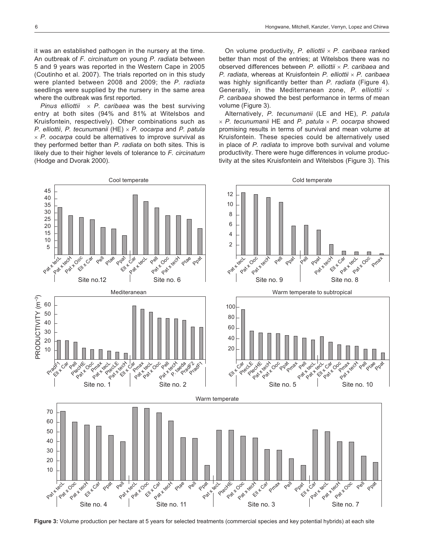it was an established pathogen in the nursery at the time. An outbreak of *F. circinatum* on young *P. radiata* between 5 and 9 years was reported in the Western Cape in 2005 (Coutinho et al. 2007). The trials reported on in this study were planted between 2008 and 2009; the *P. radiata* seedlings were supplied by the nursery in the same area where the outbreak was first reported.

*Pinus elliottii* × *P. caribaea* was the best surviving entry at both sites (94% and 81% at Witelsbos and Kruisfontein, respectively). Other combinations such as *P. elliottii*, *P. tecunumanii* (HE) × *P. oocarpa* and *P. patula* × *P. oocarpa* could be alternatives to improve survival as they performed better than *P. radiata* on both sites. This is likely due to their higher levels of tolerance to *F. circinatum*  (Hodge and Dvorak 2000).

On volume productivity, *P. elliottii* × *P. caribaea* ranked better than most of the entries; at Witelsbos there was no observed differences between *P. elliottii* × *P. caribaea* and *P. radiata*, whereas at Kruisfontein *P. elliottii* × *P. caribaea*  was highly significantly better than *P. radiata* (Figure 4). Generally, in the Mediterranean zone, *P. elliottii* × *P. caribaea* showed the best performance in terms of mean volume (Figure 3).

Alternatively, *P. tecunumanii* (LE and HE), *P. patula* × *P. tecunumanii* HE and *P. patula* × *P. oocarpa* showed promising results in terms of survival and mean volume at Kruisfontein. These species could be alternatively used in place of *P. radiata* to improve both survival and volume productivity. There were huge differences in volume productivity at the sites Kruisfontein and Witelsbos (Figure 3). This



**Figure 3:** Volume production per hectare at 5 years for selected treatments (commercial species and key potential hybrids) at each site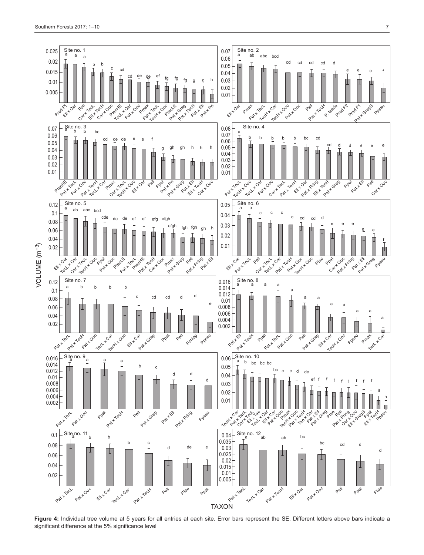

Figure 4: Individual tree volume at 5 years for all entries at each site. Error bars represent the SE. Different letters above bars indicate a significant difference at the 5% significance level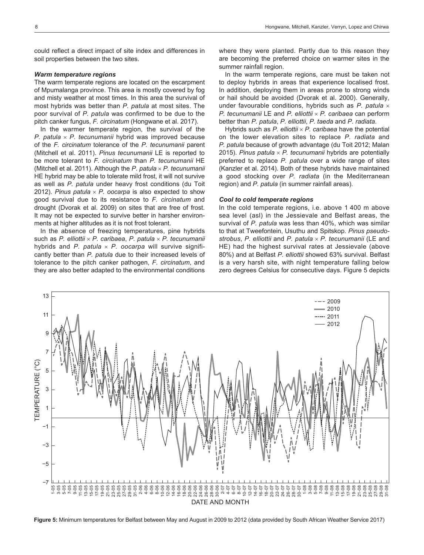could reflect a direct impact of site index and differences in soil properties between the two sites.

#### *Warm temperature regions*

The warm temperate regions are located on the escarpment of Mpumalanga province. This area is mostly covered by fog and misty weather at most times. In this area the survival of most hybrids was better than *P. patula* at most sites. The poor survival of *P. patula* was confirmed to be due to the pitch canker fungus, *F. circinatum* (Hongwane et al. 2017).

In the warmer temperate region, the survival of the *P. patula* × *P. tecunumanii* hybrid was improved because of the *F. circinatum* tolerance of the *P. tecunumanii* parent (Mitchell et al. 2011). *Pinus tecunumanii* LE is reported to be more tolerant to *F. circinatum* than *P. tecunumanii* HE (Mitchell et al. 2011). Although the *P. patula* × *P. tecunumanii* HE hybrid may be able to tolerate mild frost, it will not survive as well as *P. patula* under heavy frost conditions (du Toit 2012). *Pinus patula*  $\times$  *P. oocarpa* is also expected to show good survival due to its resistance to *F. circinatum* and drought (Dvorak et al. 2009) on sites that are free of frost. It may not be expected to survive better in harsher environments at higher altitudes as it is not frost tolerant.

In the absence of freezing temperatures, pine hybrids such as *P. elliottii* × *P. caribaea*, *P. patula* × *P. tecunumanii* hybrids and *P. patula* × *P. oocarpa* will survive significantly better than *P. patula* due to their increased levels of tolerance to the pitch canker pathogen, *F. circinatum*, and they are also better adapted to the environmental conditions

where they were planted. Partly due to this reason they are becoming the preferred choice on warmer sites in the summer rainfall region.

In the warm temperate regions, care must be taken not to deploy hybrids in areas that experience localised frost. In addition, deploying them in areas prone to strong winds or hail should be avoided (Dvorak et al. 2000). Generally, under favourable conditions, hybrids such as *P. patula* × *P. tecunumanii* LE and *P. elliottii* × *P. caribaea* can perform better than *P. patula*, *P. elliottii*, *P. taeda* and *P. radiata*.

Hybrids such as *P. elliottii* × *P. caribaea* have the potential on the lower elevation sites to replace *P. radiata* and *P. patula* because of growth advantage (du Toit 2012; Malan 2015). *Pinus patula* × *P. tecunumanii* hybrids are potentially preferred to replace *P. patula* over a wide range of sites (Kanzler et al. 2014). Both of these hybrids have maintained a good stocking over *P. radiata* (in the Mediterranean region) and *P. patula* (in summer rainfall areas).

#### *Cool to cold temperate regions*

In the cold temperate regions, i.e. above 1 400 m above sea level (asl) in the Jessievale and Belfast areas, the survival of *P. patula* was less than 40%, which was similar to that at Tweefontein, Usuthu and Spitskop. *Pinus pseudostrobus*, *P. elliottii* and *P. patula* × *P. tecunumanii* (LE and HE) had the highest survival rates at Jessievale (above 80%) and at Belfast *P. elliottii* showed 63% survival. Belfast is a very harsh site, with night temperature falling below zero degrees Celsius for consecutive days. Figure 5 depicts



**Figure 5:** Minimum temperatures for Belfast between May and August in 2009 to 2012 (data provided by South African Weather Service 2017)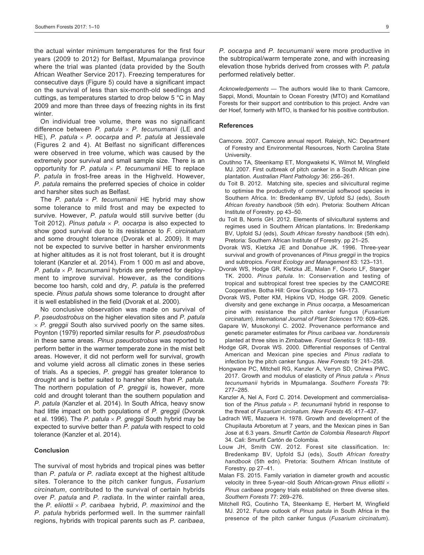the actual winter minimum temperatures for the first four years (2009 to 2012) for Belfast, Mpumalanga province where the trial was planted (data provided by the South African Weather Service 2017). Freezing temperatures for consecutive days (Figure 5) could have a significant impact on the survival of less than six-month-old seedlings and cuttings, as temperatures started to drop below 5 °C in May 2009 and more than three days of freezing nights in its first winter.

On individual tree volume, there was no signaificant difference between *P. patula* × *P. tecunumanii* (LE and HE), *P. patula* × *P. oocarpa* and *P. patula* at Jessievale (Figures 2 and 4). At Belfast no significant differences were observed in tree volume, which was caused by the extremely poor survival and small sample size. There is an opportunity for *P. patula* × *P. tecunumanii* HE to replace *P. patula* in frost-free areas in the Highveld. However, *P. patula* remains the preferred species of choice in colder and harsher sites such as Belfast.

The *P. patula*  $\times$  *P. tecunumanii* HE hybrid may show some tolerance to mild frost and may be expected to survive. However, *P. patula* would still survive better (du Toit 2012). *Pinus patula* × *P. oocarpa* is also expected to show good survival due to its resistance to *F. circinatum*  and some drought tolerance (Dvorak et al. 2009). It may not be expected to survive better in harsher environments at higher altitudes as it is not frost tolerant, but it is drought tolerant (Kanzler et al. 2014). From 1 000 m asl and above, *P. patula* × *P. tecunumanii* hybrids are preferred for deployment to improve survival. However, as the conditions become too harsh, cold and dry, *P. patula* is the preferred specie. *Pinus patula* shows some tolerance to drought after it is well established in the field (Dvorak et al. 2000).

No conclusive observation was made on survival of *P. pseudostrobus* on the higher elevation sites and *P. patula*  $\times$  *P. greggii* South also survived poorly on the same sites. Poynton (1979) reported similar results for *P. pseudostrobus* in these same areas. *Pinus pseudostrobus* was reported to perform better in the warmer temperate zone in the mist belt areas. However, it did not perform well for survival, growth and volume yield across all climatic zones in these series of trials. As a species, *P. greggii* has greater tolerance to drought and is better suited to harsher sites than *P. patula*. The northern population of *P. greggii* is, however, more cold and drought tolerant than the southern population and *P. patula* (Kanzler et al. 2014). In South Africa, heavy snow had little impact on both populations of *P. greggii* (Dvorak et al. 1996). The *P. patula* × *P. greggii* South hybrid may be expected to survive better than *P. patula* with respect to cold tolerance (Kanzler et al. 2014).

### **Conclusion**

The survival of most hybrids and tropical pines was better than *P. patula* or *P. radiata* except at the highest altitude sites. Tolerance to the pitch canker fungus, *Fusarium circinatum*, contributed to the survival of certain hybrids over *P. patula* and *P. radiata*. In the winter rainfall area, the *P. eliiottii* × *P. caribaea* hybrid, *P. maximinoi* and the *P. patula* hybrids performed well. In the summer rainfall regions, hybrids with tropical parents such as *P. caribaea*,

*P. oocarpa* and *P. tecunumanii* were more productive in the subtropical/warm temperate zone, and with increasing elevation those hybrids derived from crosses with *P. patula* performed relatively better.

*Acknowledgements* — The authors would like to thank Camcore, Sappi, Mondi, Mountain to Ocean Forestry (MTO) and Komatiland Forests for their support and contribution to this project. Andre van der Hoef, formerly with MTO, is thanked for his positive contribution.

#### **References**

- Camcore. 2007. Camcore annual report. Raleigh, NC: Department of Forestry and Environmental Resources, North Carolina State University.
- Coutihno TA, Steenkamp ET, Mongwaketsi K, Wilmot M, Wingfield MJ. 2007. First outbreak of pitch canker in a South African pine plantation. *Australian Plant Pathology* 36: 256–261.
- du Toit B. 2012. Matching site, species and silvicultural regime to optimise the productivity of commercial softwood species in Southern Africa. In: Bredenkamp BV, Upfold SJ (eds), *South African forestry handbook* (5th edn). Pretoria: Southern African Institute of Forestry. pp 43–50.
- du Toit B, Norris GH. 2012. Elements of silvicultural systems and regimes used in Southern African plantations. In: Bredenkamp BV, Upfold SJ (eds), *South African forestry handbook* (5th edn). Pretoria: Southern African Institute of Forestry. pp 21–25.
- Dvorak WS, Kietzka JE and Donahue JK. 1996. Three-year survival and growth of provenances of *Pinus greggii* in the tropics and subtropics. *Forest Ecology and Management* 83: 123–131.
- Dvorak WS, Hodge GR, Kietzka JE, Malan F, Osorio LF, Stanger TK. 2000. *Pinus patula*. In: Conservation and testing of tropical and subtropical forest tree species by the CAMCORE Cooperative. Botha Hill: Grow Graphics. pp 149–173.
- Dvorak WS, Potter KM, Hipkins VD, Hodge GR. 2009. Genetic diversity and gene exchange in *Pinus oocarpa*, a Mesoamerican pine with resistance the pitch canker fungus (*Fusarium circinatum*). *International Journal of Plant Sciences* 170: 609–626.
- Gapare W, Musokonyi C. 2002. Provenance performance and genetic parameter estimates for *Pinus caribaea* var. *hondurensis* planted at three sites in Zimbabwe. *Forest Genetics* 9: 183–189.
- Hodge GR, Dvorak WS. 2000. Differential responses of Central American and Mexican pine species and *Pinus radiata* to infection by the pitch canker fungus. *New Forests* 19: 241–258.
- Hongwane PC, Mitchell RG, Kanzler A, Verryn SD, Chirwa PWC. 2017. Growth and modulus of elasticity of *Pinus patula* × *Pinus tecunumanii* hybrids in Mpumalanga. *Southern Forests* 79: 277–285.
- Kanzler A, Nel A, Ford C. 2014. Development and commercialisation of the *Pinus patula*  $\times$  *P. tecunumanii* hybrid in response to the threat of *Fusarium circinatum. New Forests* 45: 417–437.
- Ladrach WE, Mazuera H. 1978. Growth and development of the Chupilauta Arboretum at 7 years, and the Mexican pines in San Jose at 6.3 years. *Smurfit Cartón de Colombia Research Report* 34. Cali: Smurfit Cartón de Colombia.
- Louw JH, Smith CW. 2012. Forest site classification. In: Bredenkamp BV, Upfold SJ (eds), *South African forestry handbook* (5th edn). Pretoria: Southern African Institute of Forestry. pp 27–41.
- Malan FS. 2015. Family variation in diameter growth and acoustic velocity in three 5-year–old South African-grown *Pinus elliottii* × *Pinus caribaea* progeny trials established on three diverse sites. *Southern Forests* 77: 269–276.
- Mitchell RG, Coutinho TA, Steenkamp E, Herbert M, Wingfield MJ. 2012. Future outlook of *Pinus patula* in South Africa in the presence of the pitch canker fungus (*Fusarium circinatum*).